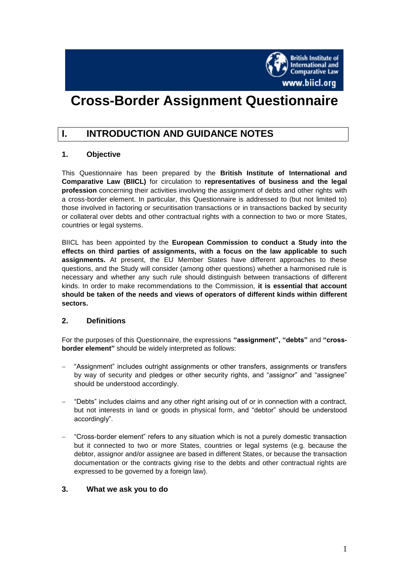

# **Cross-Border Assignment Questionnaire**

# **I. INTRODUCTION AND GUIDANCE NOTES**

## **1. Objective**

This Questionnaire has been prepared by the **British Institute of International and Comparative Law (BIICL)** for circulation to **representatives of business and the legal profession** concerning their activities involving the assignment of debts and other rights with a cross-border element. In particular, this Questionnaire is addressed to (but not limited to) those involved in factoring or securitisation transactions or in transactions backed by security or collateral over debts and other contractual rights with a connection to two or more States, countries or legal systems.

BIICL has been appointed by the **European Commission to conduct a Study into the effects on third parties of assignments, with a focus on the law applicable to such assignments.** At present, the EU Member States have different approaches to these questions, and the Study will consider (among other questions) whether a harmonised rule is necessary and whether any such rule should distinguish between transactions of different kinds. In order to make recommendations to the Commission, **it is essential that account should be taken of the needs and views of operators of different kinds within different sectors.**

#### **2. Definitions**

For the purposes of this Questionnaire, the expressions **"assignment", "debts"** and **"crossborder element"** should be widely interpreted as follows:

- "Assignment" includes outright assignments or other transfers, assignments or transfers by way of security and pledges or other security rights, and "assignor" and "assignee" should be understood accordingly.
- "Debts" includes claims and any other right arising out of or in connection with a contract, but not interests in land or goods in physical form, and "debtor" should be understood accordingly".
- "Cross-border element" refers to any situation which is not a purely domestic transaction but it connected to two or more States, countries or legal systems (e.g. because the debtor, assignor and/or assignee are based in different States, or because the transaction documentation or the contracts giving rise to the debts and other contractual rights are expressed to be governed by a foreign law).

#### **3. What we ask you to do**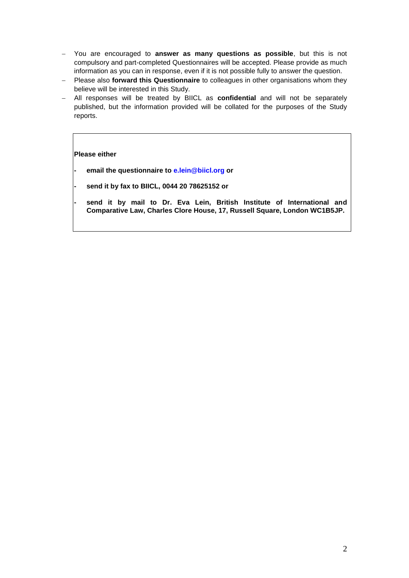- You are encouraged to **answer as many questions as possible**, but this is not compulsory and part-completed Questionnaires will be accepted. Please provide as much information as you can in response, even if it is not possible fully to answer the question.
- Please also **forward this Questionnaire** to colleagues in other organisations whom they believe will be interested in this Study.
- All responses will be treated by BIICL as **confidential** and will not be separately published, but the information provided will be collated for the purposes of the Study reports.

#### **Please either**

**- email the questionnaire to [e.lein@biicl.org](mailto:e.lein@biicl.org) or** 

- **send it by fax to BIICL, 0044 20 78625152 or**
	- **- send it by mail to Dr. Eva Lein, British Institute of International and Comparative Law, Charles Clore House, 17, Russell Square, London WC1B5JP.**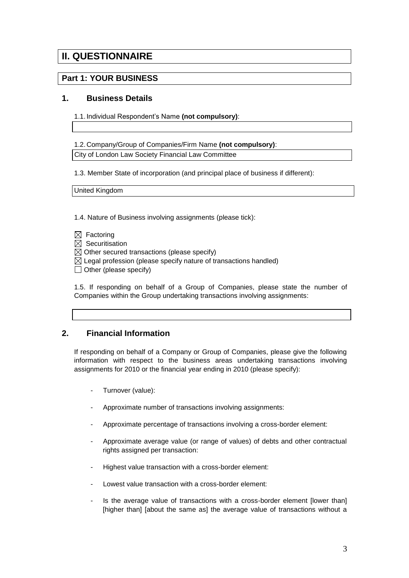# **II. QUESTIONNAIRE**

# **Part 1: YOUR BUSINESS**

#### **1. Business Details**

1.1. Individual Respondent's Name **(not compulsory)**:

1.2. Company/Group of Companies/Firm Name **(not compulsory)**:

City of London Law Society Financial Law Committee

1.3. Member State of incorporation (and principal place of business if different):

United Kingdom

1.4. Nature of Business involving assignments (please tick):

- $\boxtimes$  Factoring
- $\boxtimes$  Securitisation
- $\boxtimes$  Other secured transactions (please specify)
- $\boxtimes$  Legal profession (please specify nature of transactions handled)
- $\Box$  Other (please specify)

1.5. If responding on behalf of a Group of Companies, please state the number of Companies within the Group undertaking transactions involving assignments:

## **2. Financial Information**

If responding on behalf of a Company or Group of Companies, please give the following information with respect to the business areas undertaking transactions involving assignments for 2010 or the financial year ending in 2010 (please specify):

- Turnover (value):
- Approximate number of transactions involving assignments:
- Approximate percentage of transactions involving a cross-border element:
- Approximate average value (or range of values) of debts and other contractual rights assigned per transaction:
- Highest value transaction with a cross-border element:
- Lowest value transaction with a cross-border element:
- Is the average value of transactions with a cross-border element [lower than] [higher than] [about the same as] the average value of transactions without a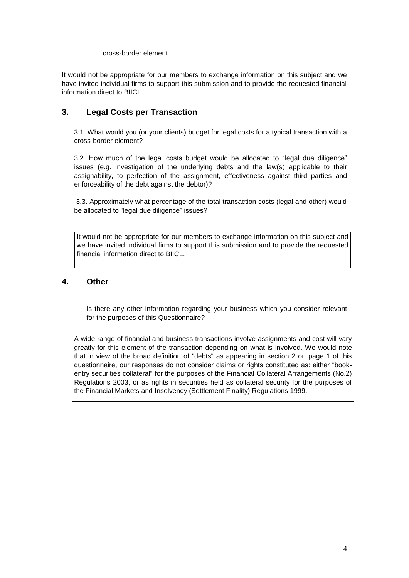#### cross-border element

It would not be appropriate for our members to exchange information on this subject and we have invited individual firms to support this submission and to provide the requested financial information direct to BIICL.

## **3. Legal Costs per Transaction**

3.1. What would you (or your clients) budget for legal costs for a typical transaction with a cross-border element?

3.2. How much of the legal costs budget would be allocated to "legal due diligence" issues (e.g. investigation of the underlying debts and the law(s) applicable to their assignability, to perfection of the assignment, effectiveness against third parties and enforceability of the debt against the debtor)?

3.3. Approximately what percentage of the total transaction costs (legal and other) would be allocated to "legal due diligence" issues?

It would not be appropriate for our members to exchange information on this subject and we have invited individual firms to support this submission and to provide the requested financial information direct to BIICL.

#### **4. Other**

Is there any other information regarding your business which you consider relevant for the purposes of this Questionnaire?

A wide range of financial and business transactions involve assignments and cost will vary greatly for this element of the transaction depending on what is involved. We would note that in view of the broad definition of "debts" as appearing in section 2 on page 1 of this questionnaire, our responses do not consider claims or rights constituted as: either "bookentry securities collateral" for the purposes of the Financial Collateral Arrangements (No.2) Regulations 2003, or as rights in securities held as collateral security for the purposes of the Financial Markets and Insolvency (Settlement Finality) Regulations 1999.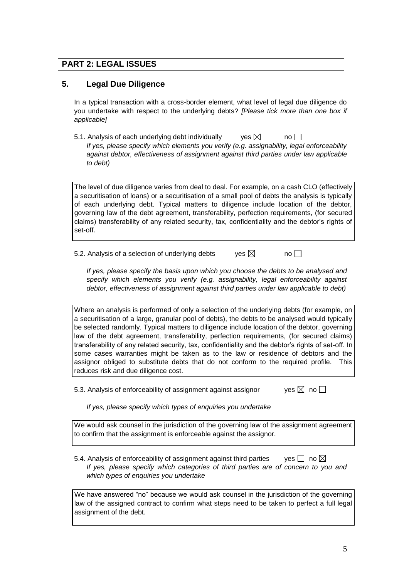# **PART 2: LEGAL ISSUES**

## **5. Legal Due Diligence**

In a typical transaction with a cross-border element, what level of legal due diligence do you undertake with respect to the underlying debts? *[Please tick more than one box if applicable]*

5.1. Analysis of each underlying debt individually ves  $\boxtimes$  no  $\square$ *If yes, please specify which elements you verify (e.g. assignability, legal enforceability against debtor, effectiveness of assignment against third parties under law applicable to debt)*

The level of due diligence varies from deal to deal. For example, on a cash CLO (effectively a securitisation of loans) or a securitisation of a small pool of debts the analysis is typically of each underlying debt. Typical matters to diligence include location of the debtor, governing law of the debt agreement, transferability, perfection requirements, (for secured claims) transferability of any related security, tax, confidentiality and the debtor's rights of set-off.

5.2. Analysis of a selection of underlying debts yes  $\boxtimes$  no  $\Box$ 

*If yes, please specify the basis upon which you choose the debts to be analysed and specify which elements you verify (e.g. assignability, legal enforceability against debtor, effectiveness of assignment against third parties under law applicable to debt)*

Where an analysis is performed of only a selection of the underlying debts (for example, on a securitisation of a large, granular pool of debts), the debts to be analysed would typically be selected randomly. Typical matters to diligence include location of the debtor, governing law of the debt agreement, transferability, perfection requirements, (for secured claims) transferability of any related security, tax, confidentiality and the debtor's rights of set-off. In some cases warranties might be taken as to the law or residence of debtors and the assignor obliged to substitute debts that do not conform to the required profile. This reduces risk and due diligence cost.

5.3. Analysis of enforceability of assignment against assignor  $\Box$  yes  $\boxtimes$  no  $\Box$ 

*If yes, please specify which types of enquiries you undertake*

We would ask counsel in the jurisdiction of the governing law of the assignment agreement to confirm that the assignment is enforceable against the assignor.

5.4. Analysis of enforceability of assignment against third parties yes  $\Box$  no  $\boxtimes$ *If yes, please specify which categories of third parties are of concern to you and which types of enquiries you undertake*

We have answered "no" because we would ask counsel in the jurisdiction of the governing law of the assigned contract to confirm what steps need to be taken to perfect a full legal assignment of the debt.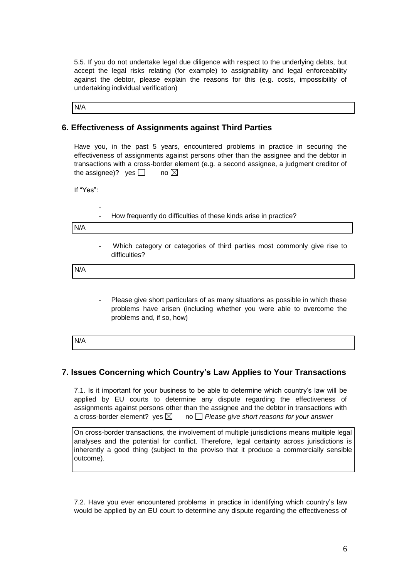5.5. If you do not undertake legal due diligence with respect to the underlying debts, but accept the legal risks relating (for example) to assignability and legal enforceability against the debtor, please explain the reasons for this (e.g. costs, impossibility of undertaking individual verification)

N/A

#### **6. Effectiveness of Assignments against Third Parties**

Have you, in the past 5 years, encountered problems in practice in securing the effectiveness of assignments against persons other than the assignee and the debtor in transactions with a cross-border element (e.g. a second assignee, a judgment creditor of the assignee)? ves  $\Box$  no  $\boxtimes$ 

If "Yes":

-

How frequently do difficulties of these kinds arise in practice?

N/A

Which category or categories of third parties most commonly give rise to difficulties?

N/A

Please give short particulars of as many situations as possible in which these problems have arisen (including whether you were able to overcome the problems and, if so, how)

| N/A |  |  |  |
|-----|--|--|--|
|     |  |  |  |

## **7. Issues Concerning which Country's Law Applies to Your Transactions**

7.1. Is it important for your business to be able to determine which country's law will be applied by EU courts to determine any dispute regarding the effectiveness of assignments against persons other than the assignee and the debtor in transactions with a cross-border element? yes  $\boxtimes$  no  $\Box$  Please give short reasons for your answer

On cross-border transactions, the involvement of multiple jurisdictions means multiple legal analyses and the potential for conflict. Therefore, legal certainty across jurisdictions is inherently a good thing (subject to the proviso that it produce a commercially sensible outcome).

7.2. Have you ever encountered problems in practice in identifying which country's law would be applied by an EU court to determine any dispute regarding the effectiveness of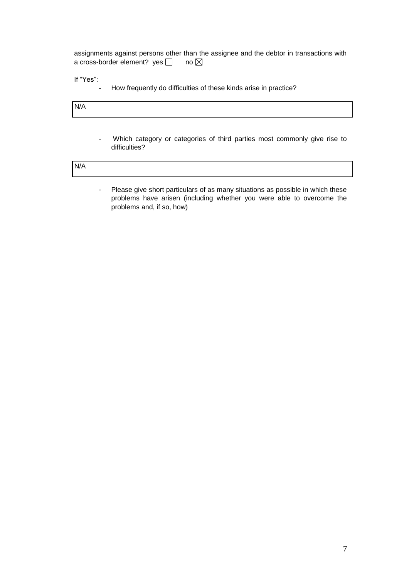assignments against persons other than the assignee and the debtor in transactions with a cross-border element? yes  $\Box$  no  $\boxtimes$ 

If "Yes":

- How frequently do difficulties of these kinds arise in practice?

N/A

Which category or categories of third parties most commonly give rise to difficulties?

N/A

- Please give short particulars of as many situations as possible in which these problems have arisen (including whether you were able to overcome the problems and, if so, how)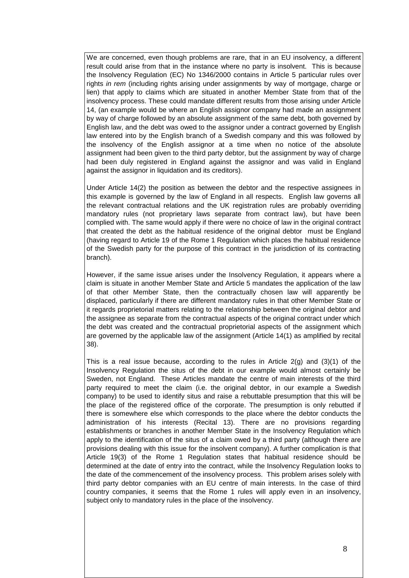We are concerned, even though problems are rare, that in an EU insolvency, a different result could arise from that in the instance where no party is insolvent. This is because the Insolvency Regulation (EC) No 1346/2000 contains in Article 5 particular rules over rights *in rem* (including rights arising under assignments by way of mortgage, charge or lien) that apply to claims which are situated in another Member State from that of the insolvency process. These could mandate different results from those arising under Article 14, (an example would be where an English assignor company had made an assignment by way of charge followed by an absolute assignment of the same debt, both governed by English law, and the debt was owed to the assignor under a contract governed by English law entered into by the English branch of a Swedish company and this was followed by the insolvency of the English assignor at a time when no notice of the absolute assignment had been given to the third party debtor, but the assignment by way of charge had been duly registered in England against the assignor and was valid in England against the assignor in liquidation and its creditors).

Under Article 14(2) the position as between the debtor and the respective assignees in this example is governed by the law of England in all respects. English law governs all the relevant contractual relations and the UK registration rules are probably overriding mandatory rules (not proprietary laws separate from contract law), but have been complied with. The same would apply if there were no choice of law in the original contract that created the debt as the habitual residence of the original debtor must be England (having regard to Article 19 of the Rome 1 Regulation which places the habitual residence of the Swedish party for the purpose of this contract in the jurisdiction of its contracting branch).

However, if the same issue arises under the Insolvency Regulation, it appears where a claim is situate in another Member State and Article 5 mandates the application of the law of that other Member State, then the contractually chosen law will apparently be displaced, particularly if there are different mandatory rules in that other Member State or it regards proprietorial matters relating to the relationship between the original debtor and the assignee as separate from the contractual aspects of the original contract under which the debt was created and the contractual proprietorial aspects of the assignment which are governed by the applicable law of the assignment (Article 14(1) as amplified by recital 38).

This is a real issue because, according to the rules in Article  $2(q)$  and  $(3)(1)$  of the Insolvency Regulation the situs of the debt in our example would almost certainly be Sweden, not England. These Articles mandate the centre of main interests of the third party required to meet the claim (i.e. the original debtor, in our example a Swedish company) to be used to identify situs and raise a rebuttable presumption that this will be the place of the registered office of the corporate. The presumption is only rebutted if there is somewhere else which corresponds to the place where the debtor conducts the administration of his interests (Recital 13). There are no provisions regarding establishments or branches in another Member State in the Insolvency Regulation which apply to the identification of the situs of a claim owed by a third party (although there are provisions dealing with this issue for the insolvent company). A further complication is that Article 19(3) of the Rome 1 Regulation states that habitual residence should be determined at the date of entry into the contract, while the Insolvency Regulation looks to the date of the commencement of the insolvency process. This problem arises solely with third party debtor companies with an EU centre of main interests. In the case of third country companies, it seems that the Rome 1 rules will apply even in an insolvency, subject only to mandatory rules in the place of the insolvency.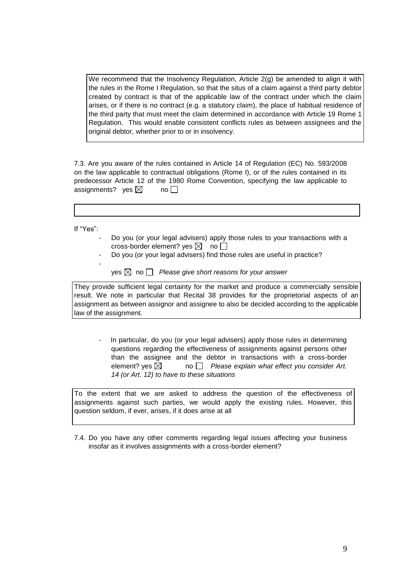We recommend that the Insolvency Regulation, Article  $2(q)$  be amended to align it with the rules in the Rome I Regulation, so that the situs of a claim against a third party debtor created by contract is that of the applicable law of the contract under which the claim arises, or if there is no contract (e.g. a statutory claim), the place of habitual residence of the third party that must meet the claim determined in accordance with Article 19 Rome 1 Regulation. This would enable consistent conflicts rules as between assignees and the original debtor, whether prior to or in insolvency.

7.3. Are you aware of the rules contained in Article 14 of Regulation (EC) No. 593/2008 on the law applicable to contractual obligations (Rome I), or of the rules contained in its predecessor Article 12 of the 1980 Rome Convention, specifying the law applicable to assignments? yes  $\boxtimes$  no  $\square$ 

If "Yes":

-

- Do you (or your legal advisers) apply those rules to your transactions with a cross-border element? ves  $\boxtimes$  no  $\Box$
- Do you (or your legal advisers) find those rules are useful in practice?

 $y$ es  $\boxtimes$  no  $\Box$  Please give short reasons for your answer

They provide sufficient legal certainty for the market and produce a commercially sensible result. We note in particular that Recital 38 provides for the proprietorial aspects of an assignment as between assignor and assignee to also be decided according to the applicable law of the assignment.

In particular, do you (or your legal advisers) apply those rules in determining questions regarding the effectiveness of assignments against persons other than the assignee and the debtor in transactions with a cross-border element? yes  $\boxtimes$  no  $\Box$  Please explain what effect you consider Art. *14 (or Art. 12) to have to these situations*

To the extent that we are asked to address the question of the effectiveness of assignments against such parties, we would apply the existing rules. However, this question seldom, if ever, arises, if it does arise at all

7.4. Do you have any other comments regarding legal issues affecting your business insofar as it involves assignments with a cross-border element?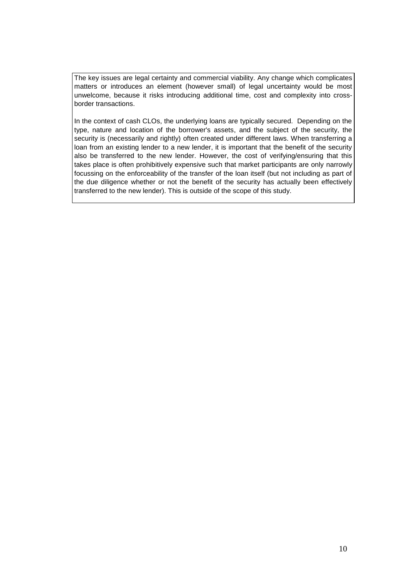The key issues are legal certainty and commercial viability. Any change which complicates matters or introduces an element (however small) of legal uncertainty would be most unwelcome, because it risks introducing additional time, cost and complexity into crossborder transactions.

In the context of cash CLOs, the underlying loans are typically secured. Depending on the type, nature and location of the borrower's assets, and the subject of the security, the security is (necessarily and rightly) often created under different laws. When transferring a loan from an existing lender to a new lender, it is important that the benefit of the security also be transferred to the new lender. However, the cost of verifying/ensuring that this takes place is often prohibitively expensive such that market participants are only narrowly focussing on the enforceability of the transfer of the loan itself (but not including as part of the due diligence whether or not the benefit of the security has actually been effectively transferred to the new lender). This is outside of the scope of this study.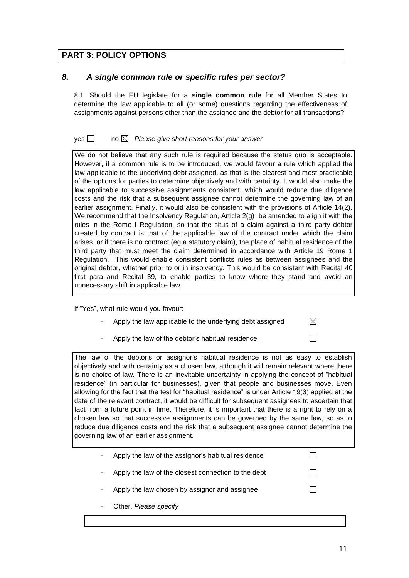# **PART 3: POLICY OPTIONS**

## *8. A single common rule or specific rules per sector?*

8.1. Should the EU legislate for a **single common rule** for all Member States to determine the law applicable to all (or some) questions regarding the effectiveness of assignments against persons other than the assignee and the debtor for all transactions?

#### yes **no** *A* Please give short reasons for your answer

We do not believe that any such rule is required because the status quo is acceptable. However, if a common rule is to be introduced, we would favour a rule which applied the law applicable to the underlying debt assigned, as that is the clearest and most practicable of the options for parties to determine objectively and with certainty. It would also make the law applicable to successive assignments consistent, which would reduce due diligence costs and the risk that a subsequent assignee cannot determine the governing law of an earlier assignment. Finally, it would also be consistent with the provisions of Article 14(2). We recommend that the Insolvency Regulation, Article  $2(q)$  be amended to align it with the rules in the Rome I Regulation, so that the situs of a claim against a third party debtor created by contract is that of the applicable law of the contract under which the claim arises, or if there is no contract (eg a statutory claim), the place of habitual residence of the third party that must meet the claim determined in accordance with Article 19 Rome 1 Regulation. This would enable consistent conflicts rules as between assignees and the original debtor, whether prior to or in insolvency. This would be consistent with Recital 40 first para and Recital 39, to enable parties to know where they stand and avoid an unnecessary shift in applicable law.

If "Yes", what rule would you favour:

- Apply the law applicable to the underlying debt assigned
- Apply the law of the debtor's habitual residence

The law of the debtor's or assignor's habitual residence is not as easy to establish objectively and with certainty as a chosen law, although it will remain relevant where there is no choice of law. There is an inevitable uncertainty in applying the concept of "habitual residence" (in particular for businesses), given that people and businesses move. Even allowing for the fact that the test for "habitual residence" is under Article 19(3) applied at the date of the relevant contract, it would be difficult for subsequent assignees to ascertain that fact from a future point in time. Therefore, it is important that there is a right to rely on a chosen law so that successive assignments can be governed by the same law, so as to reduce due diligence costs and the risk that a subsequent assignee cannot determine the governing law of an earlier assignment.

- Apply the law of the assignor's habitual residence
- Apply the law of the closest connection to the debt
- Apply the law chosen by assignor and assignee
- Other. Please specify

 $\boxtimes$ 

 $\Box$ 

П

П

П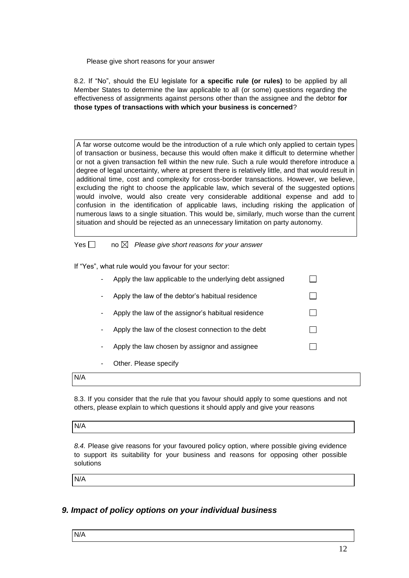Please give short reasons for your answer

8.2. If "No", should the EU legislate for **a specific rule (or rules)** to be applied by all Member States to determine the law applicable to all (or some) questions regarding the effectiveness of assignments against persons other than the assignee and the debtor **for those types of transactions with which your business is concerned**?

A far worse outcome would be the introduction of a rule which only applied to certain types of transaction or business, because this would often make it difficult to determine whether or not a given transaction fell within the new rule. Such a rule would therefore introduce a degree of legal uncertainty, where at present there is relatively little, and that would result in additional time, cost and complexity for cross-border transactions. However, we believe, excluding the right to choose the applicable law, which several of the suggested options would involve, would also create very considerable additional expense and add to confusion in the identification of applicable laws, including risking the application of numerous laws to a single situation. This would be, similarly, much worse than the current situation and should be rejected as an unnecessary limitation on party autonomy.

Yes  $\Box$  no  $\boxtimes$  Please give short reasons for your answer

If "Yes", what rule would you favour for your sector:

| Apply the law applicable to the underlying debt assigned |  |
|----------------------------------------------------------|--|
| Apply the law of the debtor's habitual residence         |  |
| Apply the law of the assignor's habitual residence       |  |
| Apply the law of the closest connection to the debt      |  |
| Apply the law chosen by assignor and assignee            |  |
| Other. Please specify                                    |  |

#### N/A

8.3. If you consider that the rule that you favour should apply to some questions and not others, please explain to which questions it should apply and give your reasons

#### N/A

*8.4.* Please give reasons for your favoured policy option, where possible giving evidence to support its suitability for your business and reasons for opposing other possible solutions

N/A

## *9. Impact of policy options on your individual business*

N/A